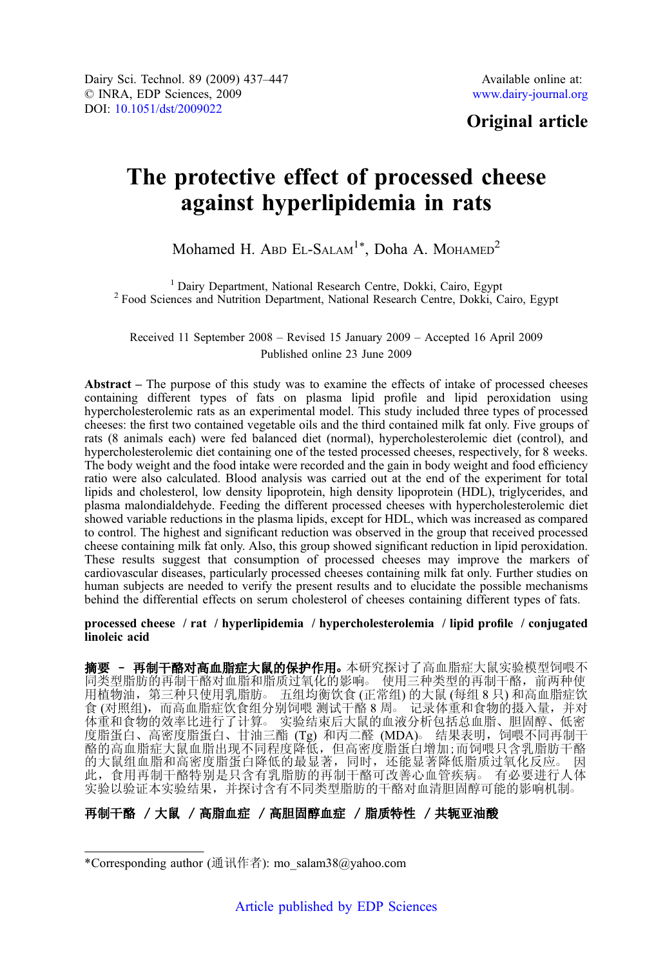## Original article

# The protective effect of processed cheese against hyperlipidemia in rats

Mohamed H. ABD EL-SALAM<sup>1\*</sup>, Doha A. MOHAMED<sup>2</sup>

<sup>1</sup> Dairy Department, National Research Centre, Dokki, Cairo, Egypt <sup>2</sup> Food Sciences and Nutrition Department, National Research Centre, Dokki, Cairo, Egypt

Received 11 September 2008 – Revised 15 January 2009 – Accepted 16 April 2009 Published online 23 June 2009

Abstract – The purpose of this study was to examine the effects of intake of processed cheeses containing different types of fats on plasma lipid profile and lipid peroxidation using hypercholesterolemic rats as an experimental model. This study included three types of processed cheeses: the first two contained vegetable oils and the third contained milk fat only. Five groups of rats (8 animals each) were fed balanced diet (normal), hypercholesterolemic diet (control), and hypercholesterolemic diet containing one of the tested processed cheeses, respectively, for 8 weeks. The body weight and the food intake were recorded and the gain in body weight and food efficiency ratio were also calculated. Blood analysis was carried out at the end of the experiment for total lipids and cholesterol, low density lipoprotein, high density lipoprotein (HDL), triglycerides, and plasma malondialdehyde. Feeding the different processed cheeses with hypercholesterolemic diet showed variable reductions in the plasma lipids, except for HDL, which was increased as compared to control. The highest and significant reduction was observed in the group that received processed cheese containing milk fat only. Also, this group showed significant reduction in lipid peroxidation. These results suggest that consumption of processed cheeses may improve the markers of cardiovascular diseases, particularly processed cheeses containing milk fat only. Further studies on human subjects are needed to verify the present results and to elucidate the possible mechanisms behind the differential effects on serum cholesterol of cheeses containing different types of fats.

processed cheese / rat / hyperlipidemia / hypercholesterolemia / lipid profile / conjugated linoleic acid

摘要 - 再制干酪对高血脂症大鼠的保护作用。本研究探讨了高血脂症大鼠实验模型饲喂不 同类型脂肪的再制干酪对血脂和脂质过氧化的影响。 使用三种类型的再制干酪,前两种使 用植物油, 第三种只使用乳脂肪。五组均衡饮食 (正常组) 的大鼠 (每组 8 只) 和高血脂症饮 食 (对照组),而高血脂症饮食组分别饲喂 测试干酪 8 周○ 记录体重和食物的摄入量,并对 体重和食物的效率比进行了计算。实验结束后大鼠的血液分析包括总血脂、胆固醇、低密 度脂蛋白、高密度脂蛋白、甘油三酯 (Tg) 和丙二醛 (MDA)。 结果表明,饲喂不同再制干 酪的高血脂症大鼠血脂出现不同程度降低,但高密度脂蛋白增加;而饲喂只含乳脂肪干酪 的大鼠组血脂和高密度脂蛋白降低的最显著,同时,还能显著降低脂质过氧化反应。因 此,食用再制干酪特别是只含有乳脂肪的再制干酪可改善心血管疾病。有必要进行人体 实验以验证本实验结果,并探讨含有不同类型脂肪的干酪对血清胆固醇可能的影响机制。

再制干酪 / 大鼠 / 高脂血症 / 高胆固醇血症 / 脂质特性 / 共轭亚油酸

<sup>\*</sup>Corresponding author (通讯作者): mo\_salam38@yahoo.com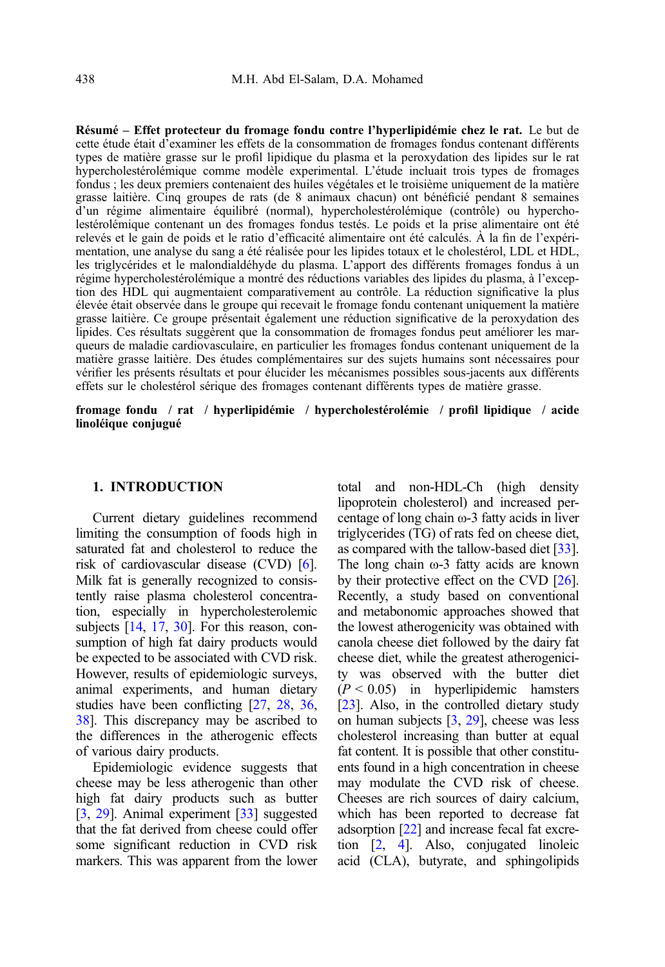Résumé – Effet protecteur du fromage fondu contre l'hyperlipidémie chez le rat. Le but de cette étude était d'examiner les effets de la consommation de fromages fondus contenant différents types de matière grasse sur le profil lipidique du plasma et la peroxydation des lipides sur le rat hypercholestérolémique comme modèle experimental. L'étude incluait trois types de fromages fondus ; les deux premiers contenaient des huiles végétales et le troisième uniquement de la matière grasse laitière. Cinq groupes de rats (de 8 animaux chacun) ont bénéficié pendant 8 semaines d'un régime alimentaire équilibré (normal), hypercholestérolémique (contrôle) ou hypercholestérolémique contenant un des fromages fondus testés. Le poids et la prise alimentaire ont été relevés et le gain de poids et le ratio d'efficacité alimentaire ont été calculés. À la fin de l'expérimentation, une analyse du sang a été réalisée pour les lipides totaux et le cholestérol, LDL et HDL, les triglycérides et le malondialdéhyde du plasma. L'apport des différents fromages fondus à un régime hypercholestérolémique a montré des réductions variables des lipides du plasma, à l'exception des HDL qui augmentaient comparativement au contrôle. La réduction significative la plus élevée était observée dans le groupe qui recevait le fromage fondu contenant uniquement la matière grasse laitière. Ce groupe présentait également une réduction significative de la peroxydation des lipides. Ces résultats suggèrent que la consommation de fromages fondus peut améliorer les marqueurs de maladie cardiovasculaire, en particulier les fromages fondus contenant uniquement de la matière grasse laitière. Des études complémentaires sur des sujets humains sont nécessaires pour vérifier les présents résultats et pour élucider les mécanismes possibles sous-jacents aux différents effets sur le cholestérol sérique des fromages contenant différents types de matière grasse.

fromage fondu / rat / hyperlipidémie / hypercholestérolémie / profil lipidique / acide linoléique conjugué

## 1. INTRODUCTION

Current dietary guidelines recommend limiting the consumption of foods high in saturated fat and cholesterol to reduce the risk of cardiovascular disease (CVD) [\[6\]](#page-8-0). Milk fat is generally recognized to consistently raise plasma cholesterol concentration, especially in hypercholesterolemic subjects  $[14, 17, 30]$  $[14, 17, 30]$  $[14, 17, 30]$  $[14, 17, 30]$  $[14, 17, 30]$  $[14, 17, 30]$ . For this reason, consumption of high fat dairy products would be expected to be associated with CVD risk. However, results of epidemiologic surveys, animal experiments, and human dietary studies have been conflicting [\[27,](#page-9-0) [28](#page-9-0), [36,](#page-9-0) [38\]](#page-10-0). This discrepancy may be ascribed to the differences in the atherogenic effects of various dairy products.

Epidemiologic evidence suggests that cheese may be less atherogenic than other high fat dairy products such as butter [\[3](#page-8-0), [29](#page-9-0)]. Animal experiment [[33\]](#page-9-0) suggested that the fat derived from cheese could offer some significant reduction in CVD risk markers. This was apparent from the lower total and non-HDL-Ch (high density lipoprotein cholesterol) and increased percentage of long chain ω-3 fatty acids in liver triglycerides (TG) of rats fed on cheese diet, as compared with the tallow-based diet [\[33](#page-9-0)]. The long chain ω-3 fatty acids are known by their protective effect on the CVD [\[26](#page-9-0)]. Recently, a study based on conventional and metabonomic approaches showed that the lowest atherogenicity was obtained with canola cheese diet followed by the dairy fat cheese diet, while the greatest atherogenicity was observed with the butter diet  $(P < 0.05)$  in hyperlipidemic hamsters [[23](#page-9-0)]. Also, in the controlled dietary study on human subjects [\[3](#page-8-0), [29](#page-9-0)], cheese was less cholesterol increasing than butter at equal fat content. It is possible that other constituents found in a high concentration in cheese may modulate the CVD risk of cheese. Cheeses are rich sources of dairy calcium, which has been reported to decrease fat adsorption [[22](#page-9-0)] and increase fecal fat excretion [\[2](#page-8-0), [4\]](#page-8-0). Also, conjugated linoleic acid (CLA), butyrate, and sphingolipids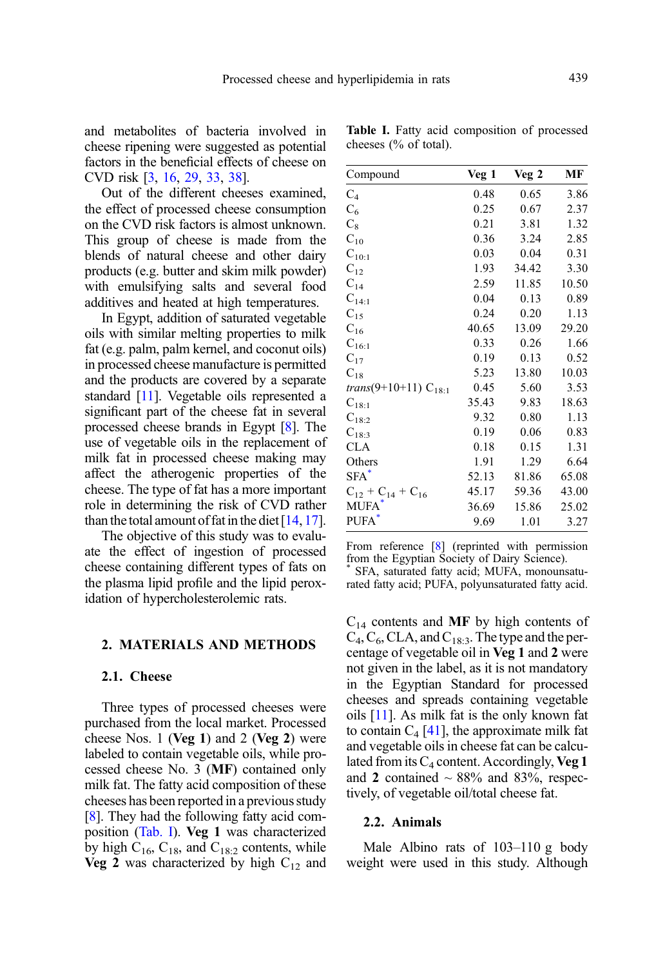<span id="page-2-0"></span>and metabolites of bacteria involved in cheese ripening were suggested as potential factors in the beneficial effects of cheese on CVD risk [\[3,](#page-8-0) [16](#page-9-0), [29,](#page-9-0) [33,](#page-9-0) [38](#page-10-0)].

Out of the different cheeses examined, the effect of processed cheese consumption on the CVD risk factors is almost unknown. This group of cheese is made from the blends of natural cheese and other dairy products (e.g. butter and skim milk powder) with emulsifying salts and several food additives and heated at high temperatures.

In Egypt, addition of saturated vegetable oils with similar melting properties to milk fat (e.g. palm, palm kernel, and coconut oils) in processed cheese manufacture is permitted and the products are covered by a separate standard [\[11](#page-8-0)]. Vegetable oils represented a significant part of the cheese fat in several processed cheese brands in Egypt [\[8](#page-8-0)]. The use of vegetable oils in the replacement of milk fat in processed cheese making may affect the atherogenic properties of the cheese. The type of fat has a more important role in determining the risk of CVD rather than the total amount of fat in the diet  $[14, 17]$  $[14, 17]$  $[14, 17]$  $[14, 17]$  $[14, 17]$ .

The objective of this study was to evaluate the effect of ingestion of processed cheese containing different types of fats on the plasma lipid profile and the lipid peroxidation of hypercholesterolemic rats.

### 2. MATERIALS AND METHODS

#### 2.1. Cheese

Three types of processed cheeses were purchased from the local market. Processed cheese Nos. 1 (Veg 1) and 2 (Veg 2) were labeled to contain vegetable oils, while processed cheese No. 3 (MF) contained only milk fat. The fatty acid composition of these cheeses has been reported in a previous study [[8\]](#page-8-0). They had the following fatty acid composition (Tab. I). Veg 1 was characterized by high  $C_{16}$ ,  $C_{18}$ , and  $C_{18:2}$  contents, while **Veg 2** was characterized by high  $C_{12}$  and

| Compound                   | Veg 1 | Veg 2 | МF    |
|----------------------------|-------|-------|-------|
| $C_4$                      | 0.48  | 0.65  | 3.86  |
| $C_6$                      | 0.25  | 0.67  | 2.37  |
| $\mathrm{C}_8$             | 0.21  | 3.81  | 1.32  |
| $C_{10}$                   | 0.36  | 3.24  | 2.85  |
| $C_{10:1}$                 | 0.03  | 0.04  | 0.31  |
| $C_{12}$                   | 1.93  | 34.42 | 3.30  |
| $C_{14}$                   | 2.59  | 11.85 | 10.50 |
| $C_{14:1}$                 | 0.04  | 0.13  | 0.89  |
| $C_{15}$                   | 0.24  | 0.20  | 1.13  |
| $\mathrm{C_{16}}$          | 40.65 | 13.09 | 29.20 |
| $C_{16:1}$                 | 0.33  | 0.26  | 1.66  |
| $C_{17}$                   | 0.19  | 0.13  | 0.52  |
| $\mathrm{C}_{18}$          | 5.23  | 13.80 | 10.03 |
| $trans(9+10+11) C_{18:1}$  | 0.45  | 5.60  | 3.53  |
| $C_{18:1}$                 | 35.43 | 9.83  | 18.63 |
| $C_{18:2}$                 | 9.32  | 0.80  | 1.13  |
| $C_{18:3}$                 | 0.19  | 0.06  | 0.83  |
| <b>CLA</b>                 | 0.18  | 0.15  | 1.31  |
| Others                     | 1.91  | 1.29  | 6.64  |
| $SFA^*$                    | 52.13 | 81.86 | 65.08 |
| $C_{12} + C_{14} + C_{16}$ | 45.17 | 59.36 | 43.00 |
| MUFA <sup>®</sup>          | 36.69 | 15.86 | 25.02 |
| PUFA <sup>*</sup>          | 9.69  | 1.01  | 3.27  |

Table I. Fatty acid composition of processed cheeses (% of total).

From reference [\[8\]](#page-8-0) (reprinted with permission from the Egyptian Society of Dairy Science). SFA, saturated fatty acid; MUFA, monounsaturated fatty acid; PUFA, polyunsaturated fatty acid.

 $C_{14}$  contents and MF by high contents of  $C_4$ ,  $C_6$ , CLA, and  $C_{18:3}$ . The type and the percentage of vegetable oil in Veg 1 and 2 were not given in the label, as it is not mandatory in the Egyptian Standard for processed cheeses and spreads containing vegetable oils [[11](#page-8-0)]. As milk fat is the only known fat to contain  $C_4$  [[41](#page-10-0)], the approximate milk fat and vegetable oils in cheese fat can be calculated from its  $C_4$  content. Accordingly, Veg 1 and 2 contained  $\sim 88\%$  and 83%, respectively, of vegetable oil/total cheese fat.

#### 2.2. Animals

Male Albino rats of 103–110 g body weight were used in this study. Although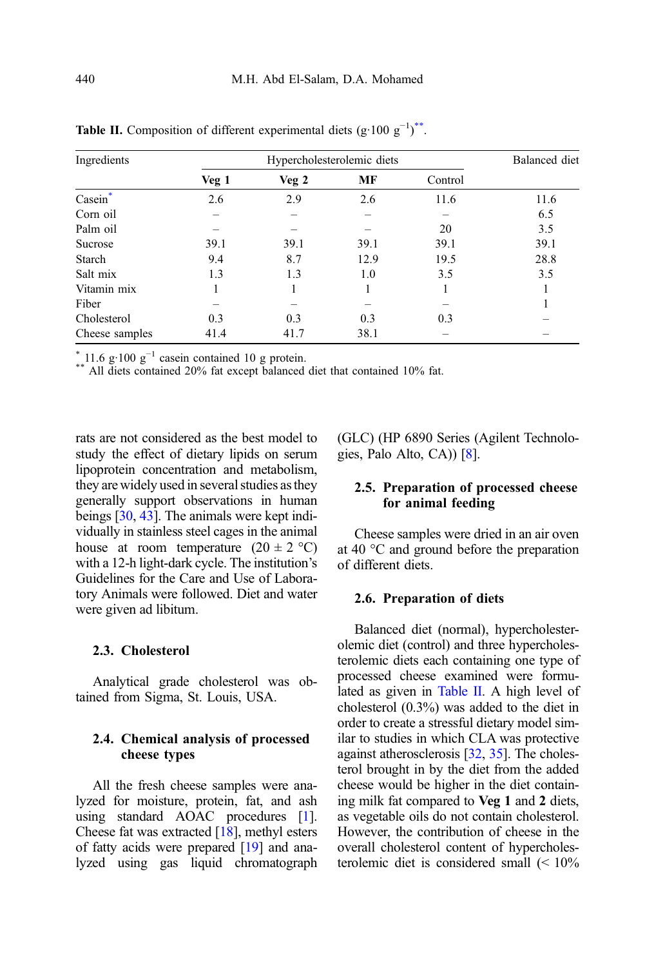| Ingredients         |       | Balanced diet |      |         |      |
|---------------------|-------|---------------|------|---------|------|
|                     | Veg 1 | Veg 2         | MF   | Control |      |
| Casein <sup>*</sup> | 2.6   | 2.9           | 2.6  | 11.6    | 11.6 |
| Corn oil            |       |               |      |         | 6.5  |
| Palm oil            |       |               |      | 20      | 3.5  |
| Sucrose             | 39.1  | 39.1          | 39.1 | 39.1    | 39.1 |
| Starch              | 9.4   | 8.7           | 12.9 | 19.5    | 28.8 |
| Salt mix            | 1.3   | 1.3           | 1.0  | 3.5     | 3.5  |
| Vitamin mix         |       |               |      |         |      |
| Fiber               |       |               |      |         |      |
| Cholesterol         | 0.3   | 0.3           | 0.3  | 0.3     |      |
| Cheese samples      | 41.4  | 41.7          | 38.1 |         |      |

<span id="page-3-0"></span>**Table II.** Composition of different experimental diets  $(g \cdot 100 g^{-1})^{**}$ .

<sup>\*</sup> 11.6 g·100 g<sup>-1</sup> casein contained 10 g protein.<br><sup>\*\*</sup> All diets contained 20% fat except balanced diet that contained 10% fat.

rats are not considered as the best model to study the effect of dietary lipids on serum lipoprotein concentration and metabolism, they are widely used in several studies as they generally support observations in human beings [[30,](#page-9-0) [43](#page-10-0)]. The animals were kept individually in stainless steel cages in the animal house at room temperature  $(20 \pm 2 \degree C)$ with a 12-h light-dark cycle. The institution's Guidelines for the Care and Use of Laboratory Animals were followed. Diet and water were given ad libitum.

## 2.3. Cholesterol

Analytical grade cholesterol was obtained from Sigma, St. Louis, USA.

## 2.4. Chemical analysis of processed cheese types

All the fresh cheese samples were analyzed for moisture, protein, fat, and ash using standard AOAC procedures [\[1\]](#page-8-0). Cheese fat was extracted [[18](#page-9-0)], methyl esters of fatty acids were prepared [\[19](#page-9-0)] and analyzed using gas liquid chromatograph (GLC) (HP 6890 Series (Agilent Technologies, Palo Alto, CA)) [[8\]](#page-8-0).

## 2.5. Preparation of processed cheese for animal feeding

Cheese samples were dried in an air oven at 40 °C and ground before the preparation of different diets.

#### 2.6. Preparation of diets

Balanced diet (normal), hypercholesterolemic diet (control) and three hypercholesterolemic diets each containing one type of processed cheese examined were formulated as given in Table II. A high level of cholesterol (0.3%) was added to the diet in order to create a stressful dietary model similar to studies in which CLA was protective against atherosclerosis [[32](#page-9-0), [35](#page-9-0)]. The cholesterol brought in by the diet from the added cheese would be higher in the diet containing milk fat compared to Veg 1 and 2 diets, as vegetable oils do not contain cholesterol. However, the contribution of cheese in the overall cholesterol content of hypercholesterolemic diet is considered small (< 10%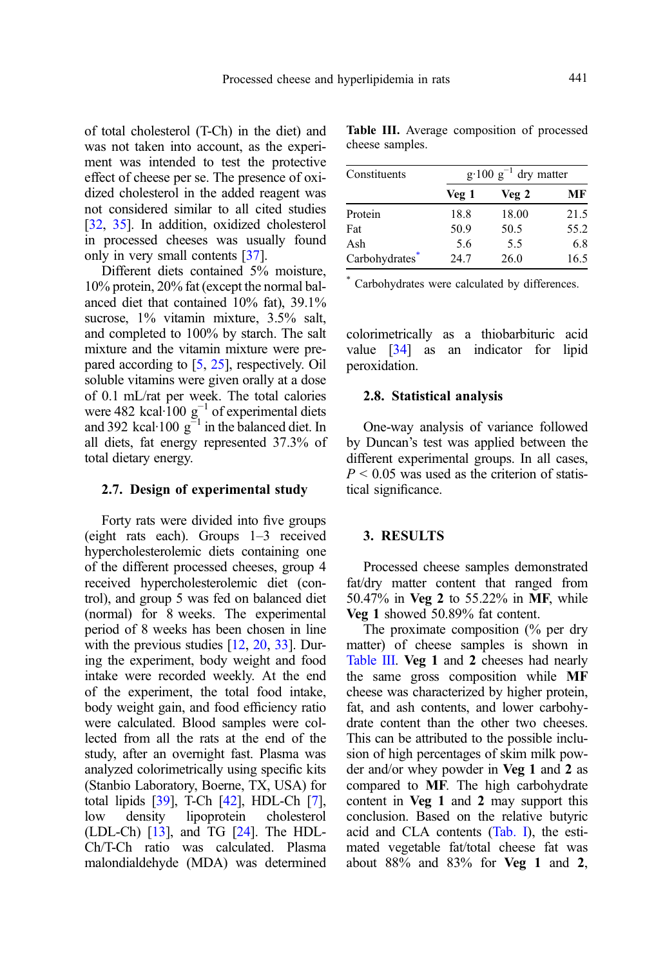of total cholesterol (T-Ch) in the diet) and was not taken into account, as the experiment was intended to test the protective effect of cheese per se. The presence of oxidized cholesterol in the added reagent was not considered similar to all cited studies [[32](#page-9-0), [35](#page-9-0)]. In addition, oxidized cholesterol in processed cheeses was usually found only in very small contents [\[37\]](#page-9-0).

Different diets contained 5% moisture, 10% protein, 20% fat (except the normal balanced diet that contained 10% fat), 39.1% sucrose, 1% vitamin mixture, 3.5% salt, and completed to 100% by starch. The salt mixture and the vitamin mixture were prepared according to [\[5,](#page-8-0) [25](#page-9-0)], respectively. Oil soluble vitamins were given orally at a dose of 0.1 mL/rat per week. The total calories were 482 kcal· $100 \text{ g}^{-1}$  of experimental diets and 392 kcal·100  $g^{-1}$  in the balanced diet. In all diets, fat energy represented 37.3% of total dietary energy.

#### 2.7. Design of experimental study

Forty rats were divided into five groups (eight rats each). Groups 1–3 received hypercholesterolemic diets containing one of the different processed cheeses, group 4 received hypercholesterolemic diet (control), and group 5 was fed on balanced diet (normal) for 8 weeks. The experimental period of 8 weeks has been chosen in line with the previous studies [\[12,](#page-8-0) [20,](#page-9-0) [33](#page-9-0)]. During the experiment, body weight and food intake were recorded weekly. At the end of the experiment, the total food intake, body weight gain, and food efficiency ratio were calculated. Blood samples were collected from all the rats at the end of the study, after an overnight fast. Plasma was analyzed colorimetrically using specific kits (Stanbio Laboratory, Boerne, TX, USA) for total lipids [\[39\]](#page-10-0), T-Ch [\[42\]](#page-10-0), HDL-Ch [\[7\]](#page-8-0), low density lipoprotein cholesterol (LDL-Ch) [\[13\]](#page-8-0), and TG [[24](#page-9-0)]. The HDL-Ch/T-Ch ratio was calculated. Plasma malondialdehyde (MDA) was determined Table III. Average composition of processed cheese samples.

| Constituents   | $g \cdot 100$ g <sup>-1</sup> dry matter |       |      |  |  |
|----------------|------------------------------------------|-------|------|--|--|
|                | Veg 1                                    | Veg 2 | МF   |  |  |
| Protein        | 18.8                                     | 18.00 | 21.5 |  |  |
| Fat            | 50.9                                     | 50.5  | 55.2 |  |  |
| Ash            | 5.6                                      | 5.5   | 6.8  |  |  |
| Carbohydrates' | 24.7                                     | 26.0  | 16.5 |  |  |

\* Carbohydrates were calculated by differences.

colorimetrically as a thiobarbituric acid value [[34](#page-9-0)] as an indicator for lipid peroxidation.

#### 2.8. Statistical analysis

One-way analysis of variance followed by Duncan's test was applied between the different experimental groups. In all cases,  $P < 0.05$  was used as the criterion of statistical significance.

## 3. RESULTS

Processed cheese samples demonstrated fat/dry matter content that ranged from 50.47% in Veg 2 to 55.22% in MF, while Veg 1 showed 50.89% fat content.

The proximate composition (% per dry matter) of cheese samples is shown in Table III. Veg 1 and 2 cheeses had nearly the same gross composition while MF cheese was characterized by higher protein, fat, and ash contents, and lower carbohydrate content than the other two cheeses. This can be attributed to the possible inclusion of high percentages of skim milk powder and/or whey powder in Veg 1 and 2 as compared to MF. The high carbohydrate content in Veg 1 and 2 may support this conclusion. Based on the relative butyric acid and CLA contents ([Tab. I](#page-2-0)), the estimated vegetable fat/total cheese fat was about 88% and 83% for Veg 1 and 2,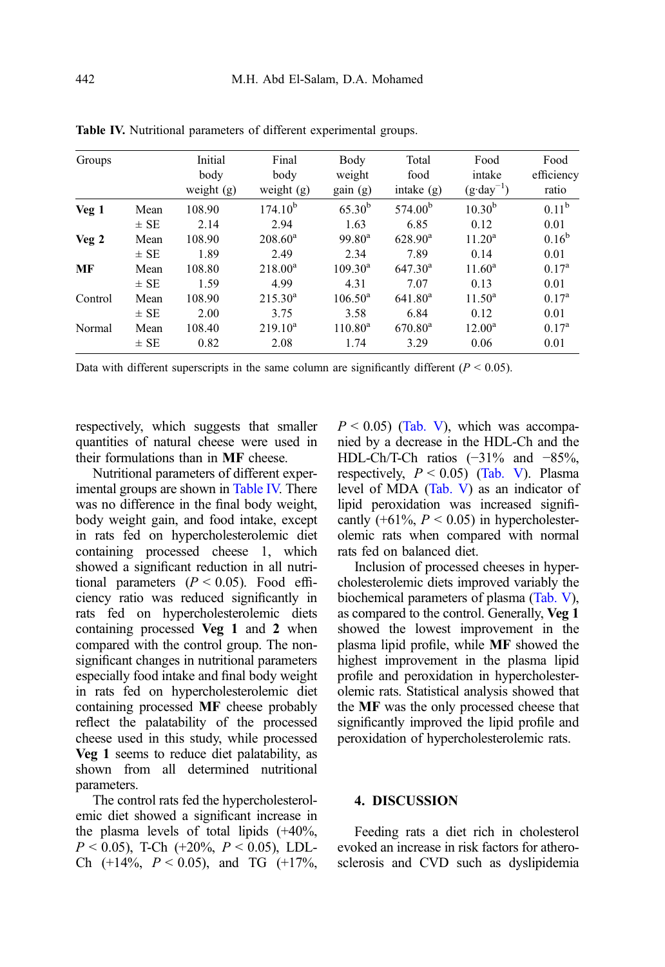| Groups  |          | Initial<br>body | Final<br>body    | Body<br>weight   | Total<br>food       | Food<br>intake       | Food<br>efficiency |
|---------|----------|-----------------|------------------|------------------|---------------------|----------------------|--------------------|
|         |          | weight $(g)$    | weight $(g)$     | gain(g)          | intake $(g)$        | $(g \cdot day^{-1})$ | ratio              |
| Veg 1   | Mean     | 108.90          | $174.10^{b}$     | $65.30^{b}$      | 574.00 <sup>b</sup> | $10.30^{b}$          | $0.11^{b}$         |
|         | $\pm$ SE | 2.14            | 2.94             | 1.63             | 6.85                | 0.12                 | 0.01               |
| Veg 2   | Mean     | 108.90          | $208.60^a$       | $99.80^a$        | $628.90^{\rm a}$    | $11.20^a$            | $0.16^{b}$         |
|         | $\pm$ SE | 1.89            | 2.49             | 2.34             | 7.89                | 0.14                 | 0.01               |
| MF      | Mean     | 108.80          | $218.00^a$       | $109.30^{\rm a}$ | $647.30^{a}$        | $11.60^{\rm a}$      | $0.17^a$           |
|         | $\pm$ SE | 1.59            | 4.99             | 4.31             | 7.07                | 0.13                 | 0.01               |
| Control | Mean     | 108.90          | $215.30^{\rm a}$ | $106.50^{\rm a}$ | 641.80 <sup>a</sup> | $11.50^{\rm a}$      | $0.17^a$           |
|         | $\pm$ SE | 2.00            | 3.75             | 3.58             | 6.84                | 0.12                 | 0.01               |
| Normal  | Mean     | 108.40          | $219.10^a$       | $110.80^{\rm a}$ | $670.80^{\rm a}$    | $12.00^a$            | $0.17^{\rm a}$     |
|         | $\pm$ SE | 0.82            | 2.08             | 1.74             | 3.29                | 0.06                 | 0.01               |

Table IV. Nutritional parameters of different experimental groups.

Data with different superscripts in the same column are significantly different  $(P < 0.05)$ .

respectively, which suggests that smaller quantities of natural cheese were used in their formulations than in MF cheese.

Nutritional parameters of different experimental groups are shown in Table IV. There was no difference in the final body weight, body weight gain, and food intake, except in rats fed on hypercholesterolemic diet containing processed cheese 1, which showed a significant reduction in all nutritional parameters  $(P < 0.05)$ . Food efficiency ratio was reduced significantly in rats fed on hypercholesterolemic diets containing processed Veg 1 and 2 when compared with the control group. The nonsignificant changes in nutritional parameters especially food intake and final body weight in rats fed on hypercholesterolemic diet containing processed MF cheese probably reflect the palatability of the processed cheese used in this study, while processed Veg 1 seems to reduce diet palatability, as shown from all determined nutritional parameters.

The control rats fed the hypercholesterolemic diet showed a significant increase in the plasma levels of total lipids (+40%,  $P < 0.05$ ), T-Ch (+20%,  $P < 0.05$ ), LDL-Ch  $(+14\%, P < 0.05)$ , and TG  $(+17\%,$   $P < 0.05$ ) [\(Tab. V\)](#page-6-0), which was accompanied by a decrease in the HDL-Ch and the HDL-Ch/T-Ch ratios (−31% and −85%, respectively,  $P < 0.05$ ) [\(Tab. V](#page-6-0)). Plasma level of MDA ([Tab. V\)](#page-6-0) as an indicator of lipid peroxidation was increased significantly  $(+61\%, P < 0.05)$  in hypercholesterolemic rats when compared with normal rats fed on balanced diet.

Inclusion of processed cheeses in hypercholesterolemic diets improved variably the biochemical parameters of plasma [\(Tab. V](#page-6-0)), as compared to the control. Generally, Veg 1 showed the lowest improvement in the plasma lipid profile, while MF showed the highest improvement in the plasma lipid profile and peroxidation in hypercholesterolemic rats. Statistical analysis showed that the MF was the only processed cheese that significantly improved the lipid profile and peroxidation of hypercholesterolemic rats.

#### 4. DISCUSSION

Feeding rats a diet rich in cholesterol evoked an increase in risk factors for atherosclerosis and CVD such as dyslipidemia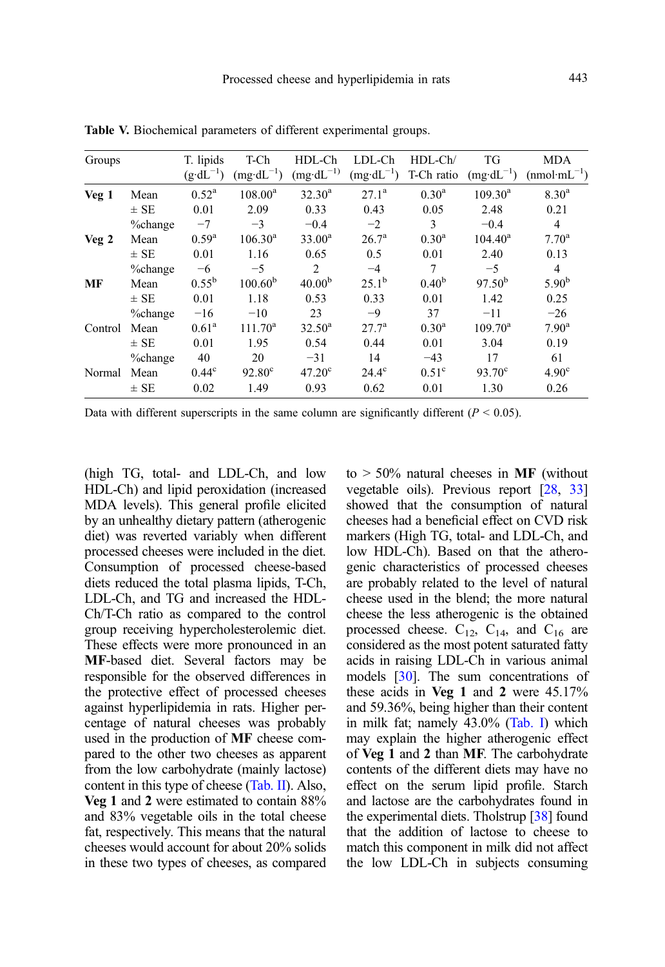| Groups  |          | T. lipids           | T-Ch                 | HDL-Ch               | $LDL-Ch$             | $HDL-Ch/$         | <b>TG</b>            | <b>MDA</b>        |
|---------|----------|---------------------|----------------------|----------------------|----------------------|-------------------|----------------------|-------------------|
|         |          | $(g \cdot dL^{-1})$ | $(mg \cdot dL^{-1})$ | $(mg \cdot dL^{-1})$ | $(mg \cdot dL^{-1})$ | T-Ch ratio        | $(mg \cdot dL^{-1})$ | $(mmol·mL^{-1})$  |
| Veg 1   | Mean     | $0.52^{\rm a}$      | $108.00^a$           | $32.30^a$            | $27.1^a$             | 0.30 <sup>a</sup> | $109.30^a$           | $8.30^{a}$        |
|         | $\pm$ SE | 0.01                | 2.09                 | 0.33                 | 0.43                 | 0.05              | 2.48                 | 0.21              |
|         | %change  | $-7$                | $-3$                 | $-0.4$               | $-2$                 | 3                 | $-0.4$               | $\overline{4}$    |
| Veg 2   | Mean     | $0.59^{a}$          | $106.30^a$           | $33.00^a$            | $26.7^{\rm a}$       | 0.30 <sup>a</sup> | $104.40^a$           | $7.70^{\rm a}$    |
|         | $\pm$ SE | 0.01                | 1.16                 | 0.65                 | 0.5                  | 0.01              | 2.40                 | 0.13              |
|         | %change  | $-6$                | $-5$                 | $\overline{2}$       | $-4$                 | 7                 | $-5$                 | $\overline{4}$    |
| МF      | Mean     | $0.55^{b}$          | $100.60^{b}$         | 40.00 <sup>b</sup>   | $25.1^{b}$           | $0.40^{b}$        | $97.50^{b}$          | 5.90 <sup>b</sup> |
|         | $\pm$ SE | 0.01                | 1.18                 | 0.53                 | 0.33                 | 0.01              | 1.42                 | 0.25              |
|         | %change  | $-16$               | $-10$                | 23                   | $-9$                 | 37                | $-11$                | $-26$             |
| Control | Mean     | $0.61^{\rm a}$      | $111.70^a$           | $32.50^{\rm a}$      | $27.7^{\rm a}$       | $0.30^{\rm a}$    | $109.70^{\rm a}$     | $7.90^{\rm a}$    |
|         | $\pm$ SE | 0.01                | 1.95                 | 0.54                 | 0.44                 | 0.01              | 3.04                 | 0.19              |
|         | %change  | 40                  | 20                   | $-31$                | 14                   | $-43$             | 17                   | 61                |
| Normal  | Mean     | $0.44^{\circ}$      | $92.80^{\circ}$      | 47.20 <sup>c</sup>   | $24.4^\circ$         | $0.51^\circ$      | $93.70^{\circ}$      | 4.90 <sup>c</sup> |
|         | $\pm$ SE | 0.02                | 1.49                 | 0.93                 | 0.62                 | 0.01              | 1.30                 | 0.26              |

<span id="page-6-0"></span>Table V. Biochemical parameters of different experimental groups.

Data with different superscripts in the same column are significantly different  $(P < 0.05)$ .

(high TG, total- and LDL-Ch, and low HDL-Ch) and lipid peroxidation (increased MDA levels). This general profile elicited by an unhealthy dietary pattern (atherogenic diet) was reverted variably when different processed cheeses were included in the diet. Consumption of processed cheese-based diets reduced the total plasma lipids, T-Ch, LDL-Ch, and TG and increased the HDL-Ch/T-Ch ratio as compared to the control group receiving hypercholesterolemic diet. These effects were more pronounced in an MF-based diet. Several factors may be responsible for the observed differences in the protective effect of processed cheeses against hyperlipidemia in rats. Higher percentage of natural cheeses was probably used in the production of MF cheese compared to the other two cheeses as apparent from the low carbohydrate (mainly lactose) content in this type of cheese [\(Tab. II](#page-3-0)). Also, Veg 1 and 2 were estimated to contain 88% and 83% vegetable oils in the total cheese fat, respectively. This means that the natural cheeses would account for about 20% solids in these two types of cheeses, as compared to  $> 50\%$  natural cheeses in MF (without vegetable oils). Previous report [[28,](#page-9-0) [33\]](#page-9-0) showed that the consumption of natural cheeses had a beneficial effect on CVD risk markers (High TG, total- and LDL-Ch, and low HDL-Ch). Based on that the atherogenic characteristics of processed cheeses are probably related to the level of natural cheese used in the blend; the more natural cheese the less atherogenic is the obtained processed cheese.  $C_{12}$ ,  $C_{14}$ , and  $C_{16}$  are considered as the most potent saturated fatty acids in raising LDL-Ch in various animal models [\[30](#page-9-0)]. The sum concentrations of these acids in Veg 1 and 2 were 45.17% and 59.36%, being higher than their content in milk fat; namely 43.0% ([Tab. I\)](#page-2-0) which may explain the higher atherogenic effect of Veg 1 and 2 than MF. The carbohydrate contents of the different diets may have no effect on the serum lipid profile. Starch and lactose are the carbohydrates found in the experimental diets. Tholstrup [\[38\]](#page-10-0) found that the addition of lactose to cheese to match this component in milk did not affect the low LDL-Ch in subjects consuming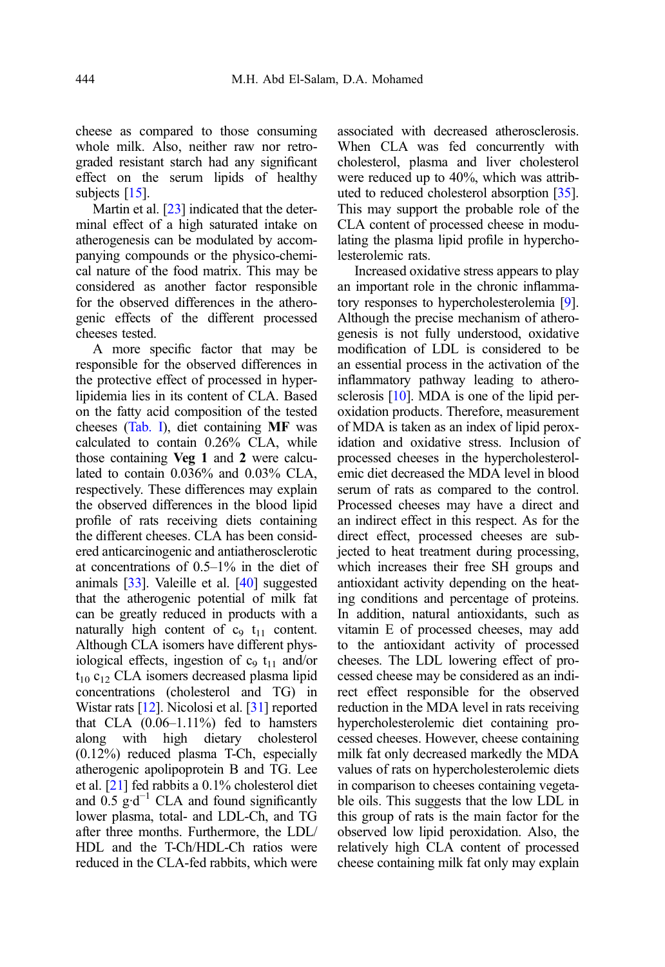cheese as compared to those consuming whole milk. Also, neither raw nor retrograded resistant starch had any significant effect on the serum lipids of healthy subjects [\[15](#page-8-0)].

Martin et al. [[23](#page-9-0)] indicated that the determinal effect of a high saturated intake on atherogenesis can be modulated by accompanying compounds or the physico-chemical nature of the food matrix. This may be considered as another factor responsible for the observed differences in the atherogenic effects of the different processed cheeses tested.

A more specific factor that may be responsible for the observed differences in the protective effect of processed in hyperlipidemia lies in its content of CLA. Based on the fatty acid composition of the tested cheeses [\(Tab. I\)](#page-2-0), diet containing MF was calculated to contain 0.26% CLA, while those containing Veg 1 and 2 were calculated to contain 0.036% and 0.03% CLA, respectively. These differences may explain the observed differences in the blood lipid profile of rats receiving diets containing the different cheeses. CLA has been considered anticarcinogenic and antiatherosclerotic at concentrations of 0.5–1% in the diet of animals [\[33\]](#page-9-0). Valeille et al. [[40](#page-10-0)] suggested that the atherogenic potential of milk fat can be greatly reduced in products with a naturally high content of  $c_9$  t<sub>11</sub> content. Although CLA isomers have different physiological effects, ingestion of  $c_9$   $t_{11}$  and/or  $t_{10}$   $c_{12}$  CLA isomers decreased plasma lipid concentrations (cholesterol and TG) in Wistar rats [\[12\]](#page-8-0). Nicolosi et al. [\[31\]](#page-9-0) reported that CLA  $(0.06-1.11\%)$  fed to hamsters along with high dietary cholesterol (0.12%) reduced plasma T-Ch, especially atherogenic apolipoprotein B and TG. Lee et al. [\[21\]](#page-9-0) fed rabbits a 0.1% cholesterol diet and 0.5  $g \cdot d^{-1}$  CLA and found significantly lower plasma, total- and LDL-Ch, and TG after three months. Furthermore, the LDL/ HDL and the T-Ch/HDL-Ch ratios were reduced in the CLA-fed rabbits, which were associated with decreased atherosclerosis. When CLA was fed concurrently with cholesterol, plasma and liver cholesterol were reduced up to 40%, which was attributed to reduced cholesterol absorption [\[35](#page-9-0)]. This may support the probable role of the CLA content of processed cheese in modulating the plasma lipid profile in hypercholesterolemic rats.

Increased oxidative stress appears to play an important role in the chronic inflammatory responses to hypercholesterolemia [\[9](#page-8-0)]. Although the precise mechanism of atherogenesis is not fully understood, oxidative modification of LDL is considered to be an essential process in the activation of the inflammatory pathway leading to athero-sclerosis [\[10\]](#page-8-0). MDA is one of the lipid peroxidation products. Therefore, measurement of MDA is taken as an index of lipid peroxidation and oxidative stress. Inclusion of processed cheeses in the hypercholesterolemic diet decreased the MDA level in blood serum of rats as compared to the control. Processed cheeses may have a direct and an indirect effect in this respect. As for the direct effect, processed cheeses are subjected to heat treatment during processing, which increases their free SH groups and antioxidant activity depending on the heating conditions and percentage of proteins. In addition, natural antioxidants, such as vitamin E of processed cheeses, may add to the antioxidant activity of processed cheeses. The LDL lowering effect of processed cheese may be considered as an indirect effect responsible for the observed reduction in the MDA level in rats receiving hypercholesterolemic diet containing processed cheeses. However, cheese containing milk fat only decreased markedly the MDA values of rats on hypercholesterolemic diets in comparison to cheeses containing vegetable oils. This suggests that the low LDL in this group of rats is the main factor for the observed low lipid peroxidation. Also, the relatively high CLA content of processed cheese containing milk fat only may explain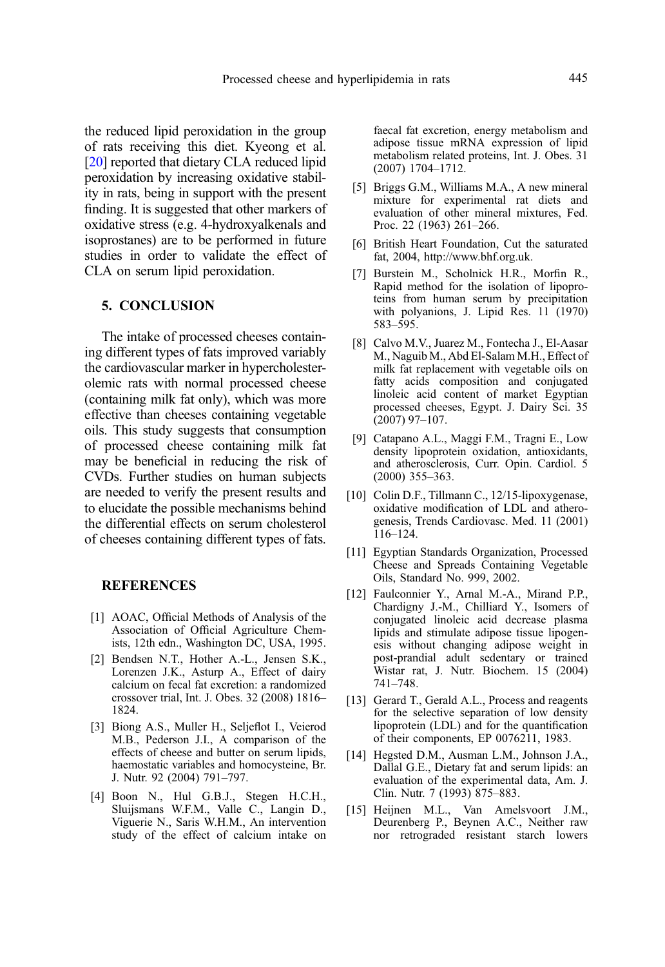<span id="page-8-0"></span>the reduced lipid peroxidation in the group of rats receiving this diet. Kyeong et al. [[20](#page-9-0)] reported that dietary CLA reduced lipid peroxidation by increasing oxidative stability in rats, being in support with the present finding. It is suggested that other markers of oxidative stress (e.g. 4-hydroxyalkenals and isoprostanes) are to be performed in future studies in order to validate the effect of CLA on serum lipid peroxidation.

## 5. CONCLUSION

The intake of processed cheeses containing different types of fats improved variably the cardiovascular marker in hypercholesterolemic rats with normal processed cheese (containing milk fat only), which was more effective than cheeses containing vegetable oils. This study suggests that consumption of processed cheese containing milk fat may be beneficial in reducing the risk of CVDs. Further studies on human subjects are needed to verify the present results and to elucidate the possible mechanisms behind the differential effects on serum cholesterol of cheeses containing different types of fats.

## **REFERENCES**

- [1] AOAC, Official Methods of Analysis of the Association of Official Agriculture Chemists, 12th edn., Washington DC, USA, 1995.
- [2] Bendsen N.T., Hother A.-L., Jensen S.K., Lorenzen J.K., Asturp A., Effect of dairy calcium on fecal fat excretion: a randomized crossover trial, Int. J. Obes. 32 (2008) 1816– 1824.
- [3] Biong A.S., Muller H., Seljeflot I., Veierod M.B., Pederson J.I., A comparison of the effects of cheese and butter on serum lipids, haemostatic variables and homocysteine, Br. J. Nutr. 92 (2004) 791–797.
- [4] Boon N., Hul G.B.J., Stegen H.C.H., Sluijsmans W.F.M., Valle C., Langin D., Viguerie N., Saris W.H.M., An intervention study of the effect of calcium intake on

faecal fat excretion, energy metabolism and adipose tissue mRNA expression of lipid metabolism related proteins, Int. J. Obes. 31 (2007) 1704–1712.

- [5] Briggs G.M., Williams M.A., A new mineral mixture for experimental rat diets and evaluation of other mineral mixtures, Fed. Proc. 22 (1963) 261–266.
- [6] British Heart Foundation, Cut the saturated fat, 2004, http://www.bhf.org.uk.
- [7] Burstein M., Scholnick H.R., Morfin R., Rapid method for the isolation of lipoproteins from human serum by precipitation with polyanions, J. Lipid Res. 11 (1970) 583–595.
- [8] Calvo M.V., Juarez M., Fontecha J., El-Aasar M., Naguib M., Abd El-Salam M.H., Effect of milk fat replacement with vegetable oils on fatty acids composition and conjugated linoleic acid content of market Egyptian processed cheeses, Egypt. J. Dairy Sci. 35 (2007) 97–107.
- [9] Catapano A.L., Maggi F.M., Tragni E., Low density lipoprotein oxidation, antioxidants, and atherosclerosis, Curr. Opin. Cardiol. 5 (2000) 355–363.
- [10] Colin D.F., Tillmann C., 12/15-lipoxygenase, oxidative modification of LDL and atherogenesis, Trends Cardiovasc. Med. 11 (2001) 116–124.
- [11] Egyptian Standards Organization, Processed Cheese and Spreads Containing Vegetable Oils, Standard No. 999, 2002.
- [12] Faulconnier Y., Arnal M.-A., Mirand P.P., Chardigny J.-M., Chilliard Y., Isomers of conjugated linoleic acid decrease plasma lipids and stimulate adipose tissue lipogenesis without changing adipose weight in post-prandial adult sedentary or trained Wistar rat, J. Nutr. Biochem. 15 (2004) 741–748.
- [13] Gerard T., Gerald A.L., Process and reagents for the selective separation of low density lipoprotein (LDL) and for the quantification of their components, EP 0076211, 1983.
- [14] Hegsted D.M., Ausman L.M., Johnson J.A., Dallal G.E., Dietary fat and serum lipids: an evaluation of the experimental data, Am. J. Clin. Nutr. 7 (1993) 875–883.
- [15] Heijnen M.L., Van Amelsvoort J.M., Deurenberg P., Beynen A.C., Neither raw nor retrograded resistant starch lowers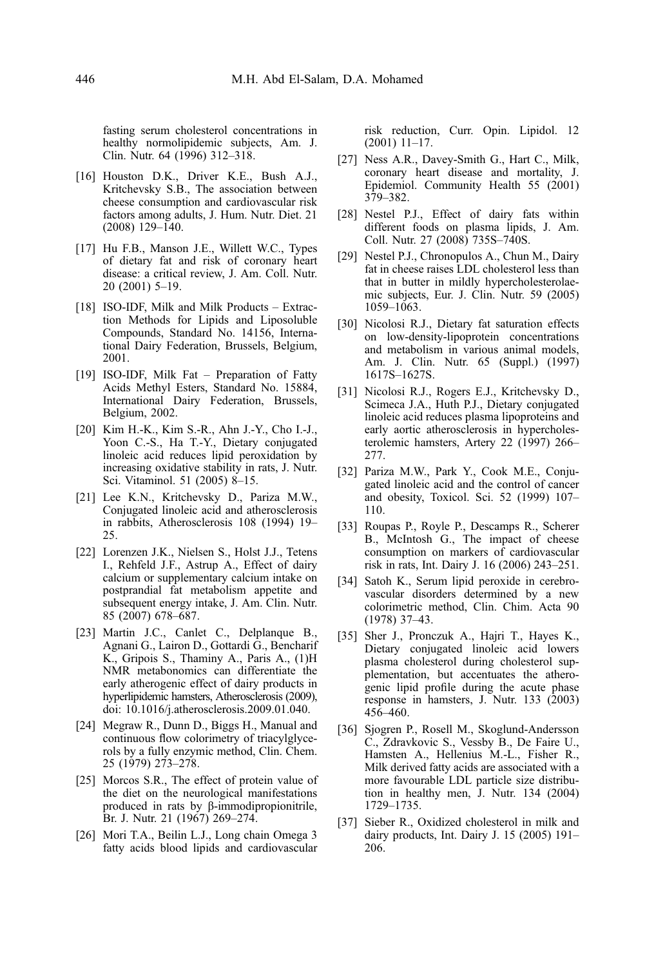<span id="page-9-0"></span>fasting serum cholesterol concentrations in healthy normolipidemic subjects, Am. J. Clin. Nutr. 64 (1996) 312–318.

- [16] Houston D.K., Driver K.E., Bush A.J., Kritchevsky S.B., The association between cheese consumption and cardiovascular risk factors among adults, J. Hum. Nutr. Diet. 21 (2008) 129–140.
- [17] Hu F.B., Manson J.E., Willett W.C., Types of dietary fat and risk of coronary heart disease: a critical review, J. Am. Coll. Nutr. 20 (2001) 5–19.
- [18] ISO-IDF, Milk and Milk Products Extraction Methods for Lipids and Liposoluble Compounds, Standard No. 14156, International Dairy Federation, Brussels, Belgium, 2001.
- [19] ISO-IDF, Milk Fat Preparation of Fatty Acids Methyl Esters, Standard No. 15884, International Dairy Federation, Brussels, Belgium, 2002.
- [20] Kim H.-K., Kim S.-R., Ahn J.-Y., Cho I.-J., Yoon C.-S., Ha T.-Y., Dietary conjugated linoleic acid reduces lipid peroxidation by increasing oxidative stability in rats, J. Nutr. Sci. Vitaminol. 51 (2005) 8–15.
- [21] Lee K.N., Kritchevsky D., Pariza M.W., Conjugated linoleic acid and atherosclerosis in rabbits, Atherosclerosis 108 (1994) 19– 25.
- [22] Lorenzen J.K., Nielsen S., Holst J.J., Tetens I., Rehfeld J.F., Astrup A., Effect of dairy calcium or supplementary calcium intake on postprandial fat metabolism appetite and subsequent energy intake, J. Am. Clin. Nutr. 85 (2007) 678–687.
- [23] Martin J.C., Canlet C., Delplanque B., Agnani G., Lairon D., Gottardi G., Bencharif K., Gripois S., Thaminy A., Paris A., (1)H NMR metabonomics can differentiate the early atherogenic effect of dairy products in hyperlipidemic hamsters, Atherosclerosis (2009), doi: 10.1016/j.atherosclerosis.2009.01.040.
- [24] Megraw R., Dunn D., Biggs H., Manual and continuous flow colorimetry of triacylglycerols by a fully enzymic method, Clin. Chem. 25 (1979) 273–278.
- [25] Morcos S.R., The effect of protein value of the diet on the neurological manifestations produced in rats by β-immodipropionitrile, Br. J. Nutr. 21 (1967) 269–274.
- [26] Mori T.A., Beilin L.J., Long chain Omega 3 fatty acids blood lipids and cardiovascular

risk reduction, Curr. Opin. Lipidol. 12 (2001) 11–17.

- [27] Ness A.R., Davey-Smith G., Hart C., Milk, coronary heart disease and mortality, J. Epidemiol. Community Health 55 (2001) 379–382.
- [28] Nestel P.J., Effect of dairy fats within different foods on plasma lipids, J. Am. Coll. Nutr. 27 (2008) 735S–740S.
- [29] Nestel P.J., Chronopulos A., Chun M., Dairy fat in cheese raises LDL cholesterol less than that in butter in mildly hypercholesterolaemic subjects, Eur. J. Clin. Nutr. 59 (2005) 1059–1063.
- [30] Nicolosi R.J., Dietary fat saturation effects on low-density-lipoprotein concentrations and metabolism in various animal models, Am. J. Clin. Nutr. 65 (Suppl.) (1997) 1617S–1627S.
- [31] Nicolosi R.J., Rogers E.J., Kritchevsky D., Scimeca J.A., Huth P.J., Dietary conjugated linoleic acid reduces plasma lipoproteins and early aortic atherosclerosis in hypercholesterolemic hamsters, Artery 22 (1997) 266– 277.
- [32] Pariza M.W., Park Y., Cook M.E., Conjugated linoleic acid and the control of cancer and obesity, Toxicol. Sci. 52 (1999) 107– 110.
- [33] Roupas P., Royle P., Descamps R., Scherer B., McIntosh G., The impact of cheese consumption on markers of cardiovascular risk in rats, Int. Dairy J. 16 (2006) 243–251.
- [34] Satoh K., Serum lipid peroxide in cerebrovascular disorders determined by a new colorimetric method, Clin. Chim. Acta 90 (1978) 37–43.
- [35] Sher J., Pronczuk A., Hajri T., Hayes K., Dietary conjugated linoleic acid lowers plasma cholesterol during cholesterol supplementation, but accentuates the atherogenic lipid profile during the acute phase response in hamsters, J. Nutr. 133 (2003) 456–460.
- [36] Sjogren P., Rosell M., Skoglund-Andersson C., Zdravkovic S., Vessby B., De Faire U., Hamsten A., Hellenius M.-L., Fisher R., Milk derived fatty acids are associated with a more favourable LDL particle size distribution in healthy men, J. Nutr. 134 (2004) 1729–1735.
- [37] Sieber R., Oxidized cholesterol in milk and dairy products, Int. Dairy J. 15 (2005) 191– 206.